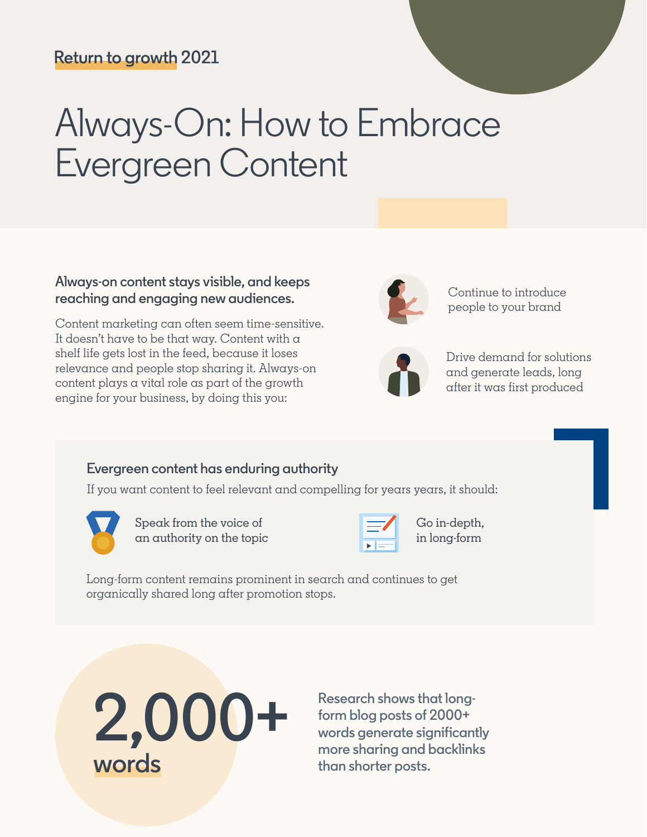## **Return to growth 2021**

# Always-On: How to Embrace Evergreen Content

#### **Always-on content stays visible, and keeps reaching and engaging new audiences.** Continue to introduce

Content marketing can often seem time-sensitive. It doesn't have to be that way. Content with a shelf life gets lost in the feed, because it loses relevance and people stop sharing it. Always-on content plays a vital role as part of the growth engine for your business, by doing this you:



people to your brand



Drive demand for solutions and generate leads, long after it was first produced

#### **Evergreen content has enduring authority**

If you want content to feel relevant and compelling for years years, it should:



Speak from the voice of an authority on the topic



Go in-depth, in long-form

Long-form content remains prominent in search and continues to get organically shared long after promotion stops.



**Research shows that longform blog posts of 2000+ words generate significantly more sharing and backlinks than shorter posts.**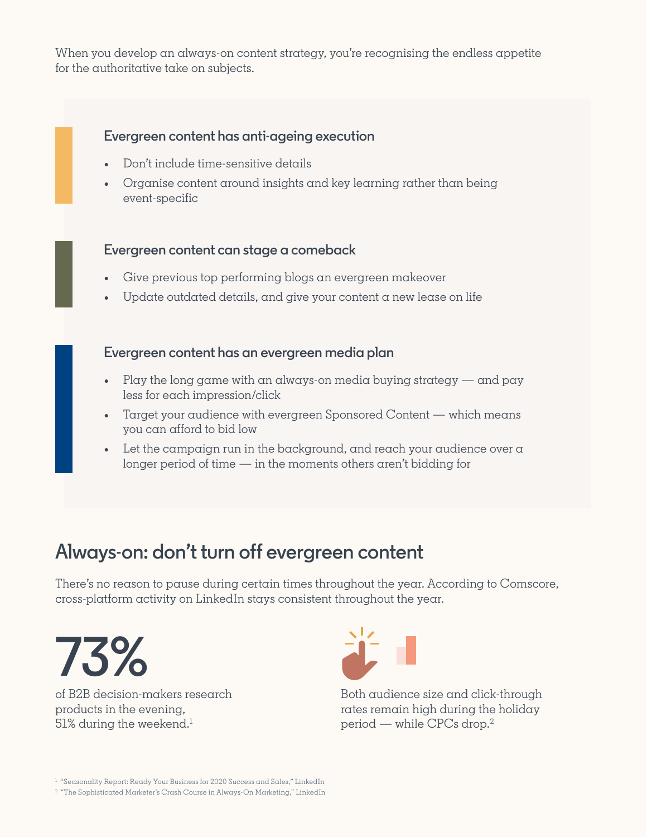When you develop an always-on content strategy, you're recognising the endless appetite for the authoritative take on subjects.

#### **Evergreen content has anti-ageing execution**

- Don't include time-sensitive details
- Organise content around insights and key learning rather than being event-specific

#### **Evergreen content can stage a comeback**

- Give previous top performing blogs an evergreen makeover
- Update outdated details, and give your content  $\alpha$  new lease on life

#### **Evergreen content has an evergreen media plan**

- Play the long game with an always-on media buying strategy  $-$  and pay less for each impression/click
- Target your audience with evergreen Sponsored Content which means you can afford to bid low
- Let the campaign run in the background, and reach your audience over  $\alpha$ longer period of time — in the moments others aren't bidding for

# **Always-on: don't turn off evergreen content**

There's no reason to pause during certain times throughout the year. According to Comscore, cross-platform activity on LinkedIn stays consistent throughout the year.



of B2B decision-makers research products in the evening,  $51\%$  during the weekend.<sup>1</sup>



Both audience size and click-through rates remain high during the holiday period — while CPCs drop.2